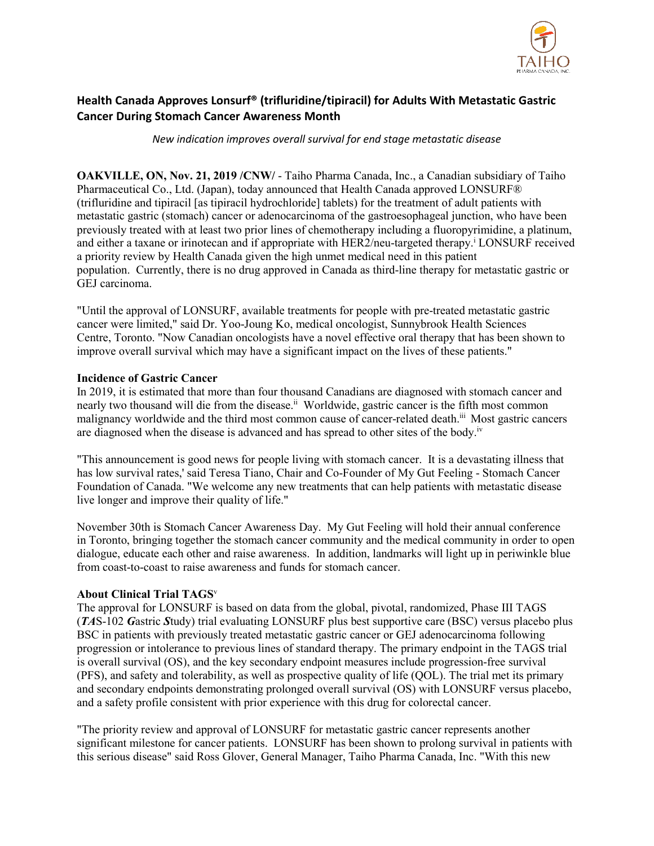

## **Health Canada Approves Lonsurf® (trifluridine/tipiracil) for Adults With Metastatic Gastric Cancer During Stomach Cancer Awareness Month**

*New indication improves overall survival for end stage metastatic disease*

**OAKVILLE, ON, Nov. 21, 2019 /CNW/** - Taiho Pharma Canada, Inc., a Canadian subsidiary of Taiho Pharmaceutical Co., Ltd. (Japan), today announced that Health Canada approved LONSURF® (trifluridine and tipiracil [as tipiracil hydrochloride] tablets) for the treatment of adult patients with metastatic gastric (stomach) cancer or adenocarcinoma of the gastroesophageal junction, who have been previously treated with at least two prior lines of chemotherapy including a fluoropyrimidine, a platinum, and either a taxane or irinotecan and if appropriate with HER2/neu-targeted therapy.<sup>i</sup> LONSURF received a priority review by Health Canada given the high unmet medical need in this patient population. Currently, there is no drug approved in Canada as third-line therapy for metastatic gastric or GEJ carcinoma.

"Until the approval of LONSURF, available treatments for people with pre-treated metastatic gastric cancer were limited," said Dr. Yoo-Joung Ko, medical oncologist, Sunnybrook Health Sciences Centre, Toronto. "Now Canadian oncologists have a novel effective oral therapy that has been shown to improve overall survival which may have a significant impact on the lives of these patients."

## **Incidence of Gastric Cancer**

In 2019, it is estimated that more than four thousand Canadians are diagnosed with stomach cancer and nearly two thousand will die from the disease.<sup>ii</sup> Worldwide, gastric cancer is the fifth most common malignancy worldwide and the third most common cause of cancer-related death.<sup>iii</sup> Most gastric cancers are diagnosed when the disease is advanced and has spread to other sites of the body.<sup>iv</sup>

"This announcement is good news for people living with stomach cancer. It is a devastating illness that has low survival rates,' said Teresa Tiano, Chair and Co-Founder of My Gut Feeling - Stomach Cancer Foundation of Canada. "We welcome any new treatments that can help patients with metastatic disease live longer and improve their quality of life."

November 30th is Stomach Cancer Awareness Day. My Gut Feeling will hold their annual conference in Toronto, bringing together the stomach cancer community and the medical community in order to open dialogue, educate each other and raise awareness. In addition, landmarks will light up in periwinkle blue from coast-to-coast to raise awareness and funds for stomach cancer.

## **About Clinical Trial TAGS**<sup>v</sup>

The approval for LONSURF is based on data from the global, pivotal, randomized, Phase III TAGS (*TA*S-102 *G*astric *S*tudy) trial evaluating LONSURF plus best supportive care (BSC) versus placebo plus BSC in patients with previously treated metastatic gastric cancer or GEJ adenocarcinoma following progression or intolerance to previous lines of standard therapy. The primary endpoint in the TAGS trial is overall survival (OS), and the key secondary endpoint measures include progression-free survival (PFS), and safety and tolerability, as well as prospective quality of life (QOL). The trial met its primary and secondary endpoints demonstrating prolonged overall survival (OS) with LONSURF versus placebo, and a safety profile consistent with prior experience with this drug for colorectal cancer.

"The priority review and approval of LONSURF for metastatic gastric cancer represents another significant milestone for cancer patients. LONSURF has been shown to prolong survival in patients with this serious disease" said Ross Glover, General Manager, Taiho Pharma Canada, Inc. "With this new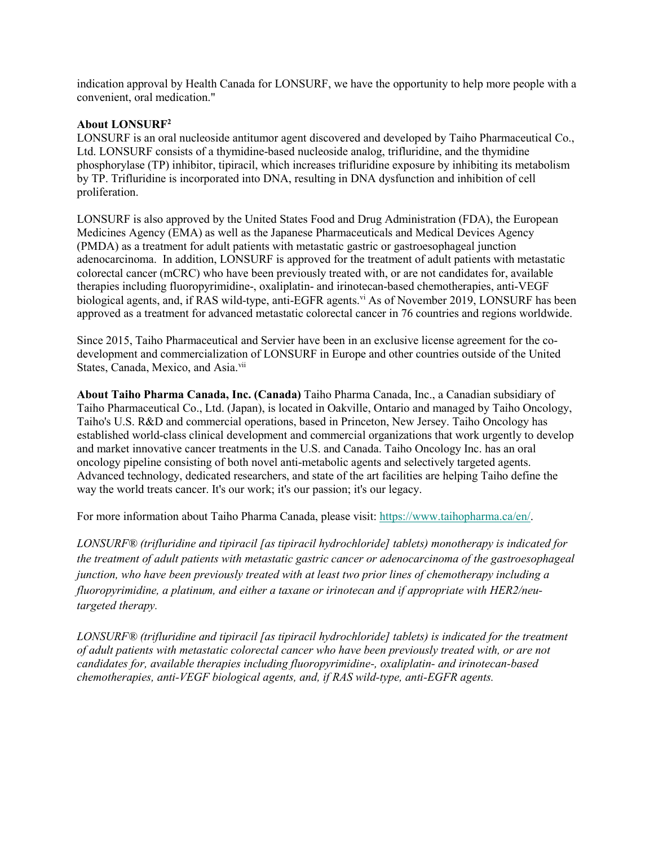indication approval by Health Canada for LONSURF, we have the opportunity to help more people with a convenient, oral medication."

## **About LONSURF2**

LONSURF is an oral nucleoside antitumor agent discovered and developed by Taiho Pharmaceutical Co., Ltd. LONSURF consists of a thymidine-based nucleoside analog, trifluridine, and the thymidine phosphorylase (TP) inhibitor, tipiracil, which increases trifluridine exposure by inhibiting its metabolism by TP. Trifluridine is incorporated into DNA, resulting in DNA dysfunction and inhibition of cell proliferation.

LONSURF is also approved by the United States Food and Drug Administration (FDA), the European Medicines Agency (EMA) as well as the Japanese Pharmaceuticals and Medical Devices Agency (PMDA) as a treatment for adult patients with metastatic gastric or gastroesophageal junction adenocarcinoma. In addition, LONSURF is approved for the treatment of adult patients with metastatic colorectal cancer (mCRC) who have been previously treated with, or are not candidates for, available therapies including fluoropyrimidine-, oxaliplatin- and irinotecan-based chemotherapies, anti-VEGF biological agents, and, if RAS wild-type, anti-EGFR agents.<sup>vi</sup> As of November 2019, LONSURF has been approved as a treatment for advanced metastatic colorectal cancer in 76 countries and regions worldwide.

Since 2015, Taiho Pharmaceutical and Servier have been in an exclusive license agreement for the codevelopment and commercialization of LONSURF in Europe and other countries outside of the United States, Canada, Mexico, and Asia.<sup>vii</sup>

**About Taiho Pharma Canada, Inc. (Canada)** Taiho Pharma Canada, Inc., a Canadian subsidiary of Taiho Pharmaceutical Co., Ltd. (Japan), is located in Oakville, Ontario and managed by Taiho Oncology, Taiho's U.S. R&D and commercial operations, based in Princeton, New Jersey. Taiho Oncology has established world-class clinical development and commercial organizations that work urgently to develop and market innovative cancer treatments in the U.S. and Canada. Taiho Oncology Inc. has an oral oncology pipeline consisting of both novel anti-metabolic agents and selectively targeted agents. Advanced technology, dedicated researchers, and state of the art facilities are helping Taiho define the way the world treats cancer. It's our work; it's our passion; it's our legacy.

For more information about Taiho Pharma Canada, please visit: [https://www.taihopharma.ca/en/.](https://c212.net/c/link/?t=0&l=en&o=2649979-1&h=1624677198&u=https%3A%2F%2Fwww.taihopharma.ca%2Fen%2F&a=https%3A%2F%2Fwww.taihopharma.ca%2Fen%2F)

*LONSURF® (trifluridine and tipiracil [as tipiracil hydrochloride] tablets) monotherapy is indicated for the treatment of adult patients with metastatic gastric cancer or adenocarcinoma of the gastroesophageal junction, who have been previously treated with at least two prior lines of chemotherapy including a fluoropyrimidine, a platinum, and either a taxane or irinotecan and if appropriate with HER2/neutargeted therapy.*

*LONSURF® (trifluridine and tipiracil [as tipiracil hydrochloride] tablets) is indicated for the treatment of adult patients with metastatic colorectal cancer who have been previously treated with, or are not candidates for, available therapies including fluoropyrimidine-, oxaliplatin- and irinotecan-based chemotherapies, anti-VEGF biological agents, and, if RAS wild-type, anti-EGFR agents.*